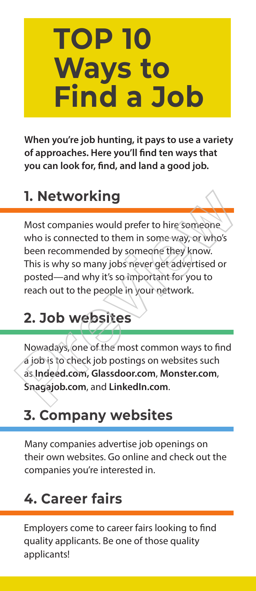# **TOP 10 Ways to Find a Job**

When you're job hunting, it pays to use a variety **of approaches. Here you'll find ten ways that you can look for, find, and land a good job.** 

#### **1. Networking**

Most companies would prefer to hire someone who is connected to them in some way, or who's been recommended by someone they know. This is why so many jobs never get advertised or posted—and why it's so important for you to reach out to the people in your network. **1. Networking**<br>
Most companies would prefer to hire someone<br>
who is connected to them in some way, or who's<br>
been recommended by someone they know.<br>
This is why so many jobs neverget advertised or<br>
posted—and why it's so

#### **2. Job websites**

Nowadays, one of the most common ways to find a job is to check job postings on websites such as **Indeed.com, Glassdoor.com**, **Monster.com**, **Snagajob.com**, and **LinkedIn.com**.

#### **3. Company websites**

Many companies advertise job openings on their own websites. Go online and check out the companies you're interested in.

#### **4. Career fairs**

Employers come to career fairs looking to find quality applicants. Be one of those quality applicants!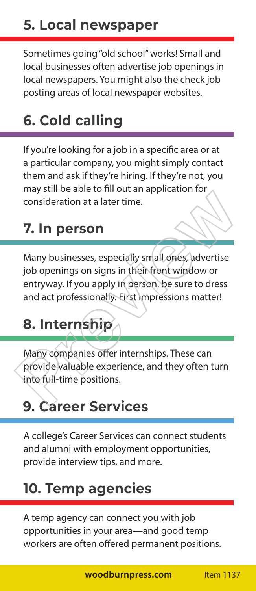Sometimes going "old school" works! Small and local businesses often advertise job openings in local newspapers. You might also the check job posting areas of local newspaper websites.

#### **6. Cold calling**

If you're looking for a job in a specific area or at a particular company, you might simply contact them and ask if they're hiring. If they're not, you may still be able to fill out an application for consideration at a later time.

#### **7. In person**

Many businesses, especially small ones, advertise job openings on signs in their front window or entryway. If you apply in person, be sure to dress and act professionally. First impressions matter! **7. In person**<br>
Many businesses, especially small ones, advertise<br>
job openings on signs in their front window or<br>
entry way. If you apply in person, be sure to dress<br>
and act professionally. First impressions matter!<br> **8.** 

#### **8. Internship**

Many companies offer internships. These can provide valuable experience, and they often turn into full-time positions.

#### **9. Career Services**

A college's Career Services can connect students and alumni with employment opportunities, provide interview tips, and more.

#### **10. Temp agencies**

A temp agency can connect you with job opportunities in your area—and good temp workers are often offered permanent positions.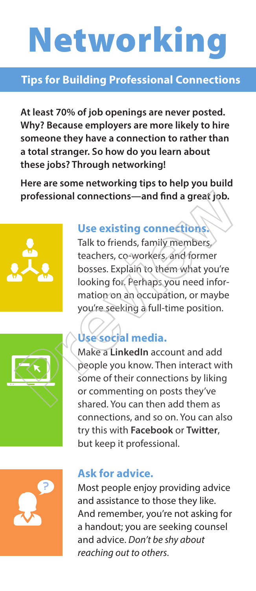# Networking

#### **Tips for Building Professional Connections**

**At least 70% of job openings are never posted. Why? Because employers are more likely to hire someone they have a connection to rather than a total stranger. So how do you learn about these jobs? Through networking!** 

**Here are some networking tips to help you build professional connections—and find a great job.**



#### **Use existing connections.**

Talk to friends, family members, teachers, co-workers, and former bosses. Explain to them what you're looking for. Perhaps you need information on an occupation, or maybe you're seeking a full-time position. professional connections—and find a great job.<br>
Use existing connections<br>
Talk to friends, family members,<br>
teachers, co-workers, and former<br>
bosses. Explain to them what you're<br>
looking for, Perhaps you need information o



#### **Use social media.**

Make a **LinkedIn** account and add people you know. Then interact with some of their connections by liking or commenting on posts they've shared. You can then add them as connections, and so on. You can also try this with **Facebook** or **Twitter**, but keep it professional.



#### **Ask for advice.**

Most people enjoy providing advice and assistance to those they like. And remember, you're not asking for a handout; you are seeking counsel and advice. *Don't be shy about reaching out to others.*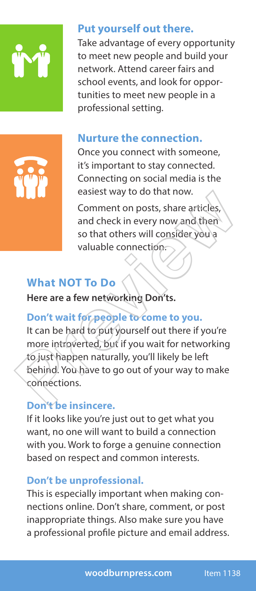

#### **Put yourself out there.**

Take advantage of every opportunity to meet new people and build your network. Attend career fairs and school events, and look for opportunities to meet new people in a professional setting.



#### **Nurture the connection.**

Once you connect with someone, it's important to stay connected. Connecting on social media is the easiest way to do that now.

Comment on posts, share articles, and check in every now and then so that others will consider you a valuable connection.

#### **What NOT To Do**

**Here are a few networking Don'ts.** 

#### **Don't wait for people to come to you.**

It can be hard to put yourself out there if you're more introverted, but if you wait for networking to just happen naturally, you'll likely be left behind. You have to go out of your way to make connections. Example the distribution of the insincered on the connection of the insinter of the internal distribution of the so that others will consider you a valuable connection.<br>
What NOT To Do<br>
Here are a few networking Don'ts.<br>
D

#### **Don't be insincere.**

If it looks like you're just out to get what you want, no one will want to build a connection with you. Work to forge a genuine connection based on respect and common interests.

#### **Don't be unprofessional.**

This is especially important when making connections online. Don't share, comment, or post inappropriate things. Also make sure you have a professional profile picture and email address.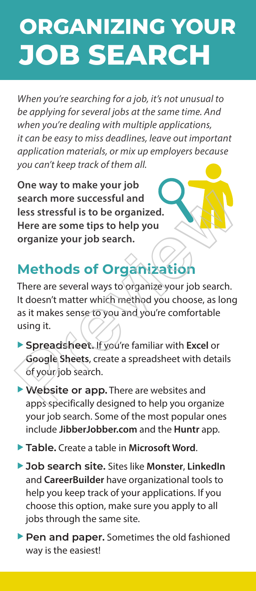### **ORGANIZING YOUR JOB SEARCH**

*When you're searching for a job, it's not unusual to be applying for several jobs at the same time. And when you're dealing with multiple applications, it can be easy to miss deadlines, leave out important application materials, or mix up employers because you can't keep track of them all.*

**One way to make your job search more successful and less stressful is to be organized. Here are some tips to help you organize your job search.** 

#### **Methods of Organization**

There are several ways to organize your job search. It doesn't matter which method you choose, as long as it makes sense to you and you're comfortable using it. Search more successful and<br>
Less stressful is to be organized.<br>
Here are some tips to help you<br>
organize your job search.<br> **Methods of Organization**<br>
There are several ways to organize your job search.<br>
It doesn't matter w

- u **Spreadsheet.** If you're familiar with **Excel** or **Google Sheets**, create a spreadsheet with details of your job search.
- **Website or app.** There are websites and apps specifically designed to help you organize your job search. Some of the most popular ones include **JibberJobber.com** and the **Huntr** app.
- ▶ Table. Create a table in Microsoft Word.
- ▶ Job search site. Sites like Monster, LinkedIn and **CareerBuilder** have organizational tools to help you keep track of your applications. If you choose this option, make sure you apply to all jobs through the same site.
- **Pen and paper.** Sometimes the old fashioned way is the easiest!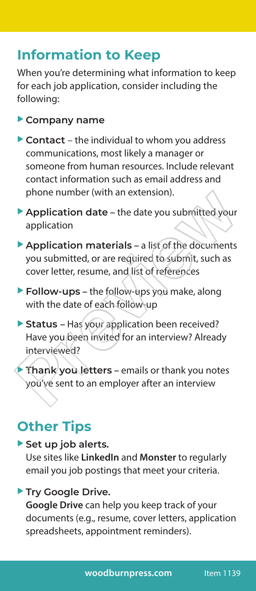#### **Information to Keep**

When you're determining what information to keep for each job application, consider including the following:

#### **Company name**

- $\triangleright$  Contact the individual to whom you address communications, most likely a manager or someone from human resources. Include relevant contact information such as email address and phone number (with an extension).
- **Application date** the date you submitted your application
- **Application materials** a list of the documents you submitted, or are required to submit, such as cover letter, resume, and list of references Provided to the date vou submitted your<br>
Application date – the date you submitted your<br>
application<br>
► Application materials – a list of the documents<br>
you submitted, or are required to submit, such as<br>
cover letter, res
	- **Follow-ups** the follow-ups you make, along with the date of each follow-up
	- **Status Has your application been received?** Have you been invited for an interview? Already interviewed?
- **Thank you letters** emails or thank you notes you've sent to an employer after an interview

#### **Other Tips**

Set up job alerts.

Use sites like **LinkedIn** and **Monster** to regularly email you job postings that meet your criteria.

#### **Try Google Drive.**

**Google Drive** can help you keep track of your documents (e.g., resume, cover letters, application spreadsheets, appointment reminders).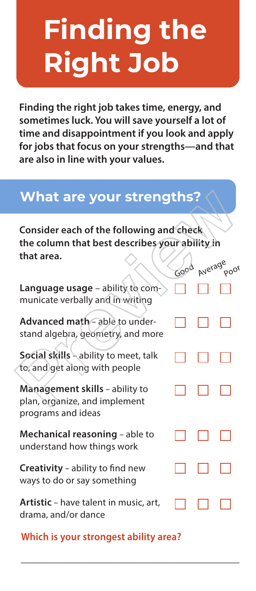# **Finding the Right Job**

**Finding the right job takes time, energy, and sometimes luck. You will save yourself a lot of time and disappointment if you look and apply for jobs that focus on your strengths—and that are also in line with your values.**

#### **What are your strengths?**

**Which is your strongest ability area?**

\_\_\_\_\_\_\_\_\_\_\_\_\_\_\_\_\_\_\_\_\_\_\_\_\_\_\_\_\_\_\_\_\_\_\_\_\_\_\_\_\_\_\_\_\_\_\_

| <b>What are your strengths?</b>                                                                          |      |         |      |
|----------------------------------------------------------------------------------------------------------|------|---------|------|
| Consider each of the following and check<br>the column that best describes your ability in<br>that area. |      | Average |      |
| Language usage - ability to com-<br>municate verbally and in writing                                     | Good |         | poor |
| Advanced math - able to under-<br>stand algebra, geometry, and more                                      |      |         |      |
| Social skills ability to meet, talk<br>to, and get along with people                                     |      |         |      |
| Management skills - ability to<br>plan, organize, and implement<br>programs and ideas                    |      |         |      |
| Mechanical reasoning - able to<br>understand how things work                                             |      |         |      |
| Creativity - ability to find new<br>ways to do or say something                                          |      |         |      |
| <b>Artistic</b> – have talent in music, art,<br>drama, and/or dance                                      |      |         |      |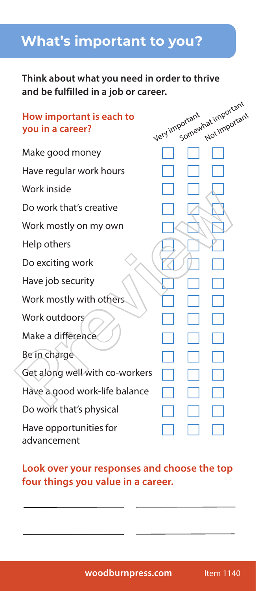#### **What's important to you?**

#### **Think about what you need in order to thrive and be fulfilled in a job or career.**

| How important is each to<br>you in a career? | Very important | Somewhat important<br>Not important |  |
|----------------------------------------------|----------------|-------------------------------------|--|
| Make good money                              |                |                                     |  |
| Have regular work hours                      |                |                                     |  |
| Work inside                                  |                |                                     |  |
| Do work that's creative                      |                |                                     |  |
| Work mostly on my own                        |                |                                     |  |
| Help others                                  |                |                                     |  |
| Do exciting work                             |                |                                     |  |
| Have job security                            |                |                                     |  |
| Work mostly with others                      |                |                                     |  |
| Work outdoors                                |                |                                     |  |
| Make a difference                            |                |                                     |  |
| Be in charge                                 |                |                                     |  |
| Get along well with co-workers               |                |                                     |  |
| Have a good work-life balance                |                |                                     |  |
| Do work that's physical                      |                |                                     |  |
| Have opportunities for<br>advancement        |                |                                     |  |

#### **Look over your responses and choose the top four things you value in a career.**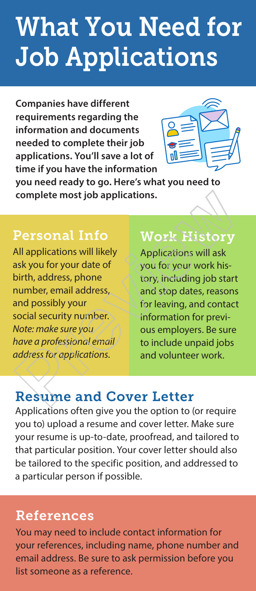### What You Need for Job Applications

**Companies have different requirements regarding the information and documents needed to complete their job applications. You'll save a lot of time if you have the information** 



**you need ready to go. Here's what you need to complete most job applications.** 

#### Personal Info Personal Info

All applications will likely All applications will likely ask you for your date of ask you for your date of birth, address, phone birth, address, phone number, email address, number, email address, and possibly your and possibly your social security number. social security number. *Note: make sure you Note: make sure you have a professional email have a professional email address for applications. address for applications.*  Complete most job applications.<br>
Personal Information of Mork History<br>
All applications will likely<br>
Applications will ask<br>
sak you for your date of<br>
birth, address, phone<br>
number, email address,<br>
notice: make sure you<br>
No

#### Work History

Applications will ask you for your work history, including job start and stop dates, reasons for leaving, and contact information for previous employers. Be sure to include unpaid jobs and volunteer work.

#### Resume and Cover Letter

Applications often give you the option to (or require you to) upload a resume and cover letter. Make sure your resume is up-to-date, proofread, and tailored to that particular position. Your cover letter should also be tailored to the specific position, and addressed to a particular person if possible.

#### References

You may need to include contact information for your references, including name, phone number and email address. Be sure to ask permission before you list someone as a reference.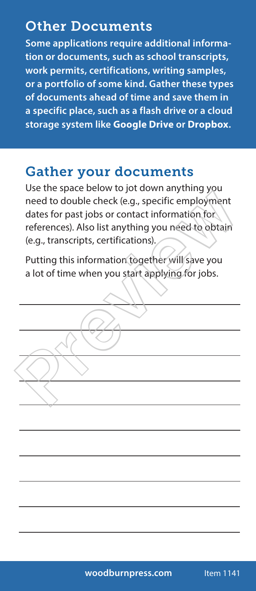#### Other Documents

**Some applications require additional information or documents, such as school transcripts, work permits, certifications, writing samples, or a portfolio of some kind. Gather these types of documents ahead of time and save them in a specific place, such as a flash drive or a cloud storage system like Google Drive or Dropbox.** 

#### Gather your documents

Use the space below to jot down anything you need to double check (e.g., specific employment dates for past jobs or contact information for references). Also list anything you need to obtain (e.g., transcripts, certifications). Section and the check (e.g., specific employment<br>dates for past jobs or contact information for<br>references). Also list anything you need to obtain<br>(e.g., transcripts, certifications).<br>Putting this information together will

Putting this information together will save you a lot of time when you start applying for jobs.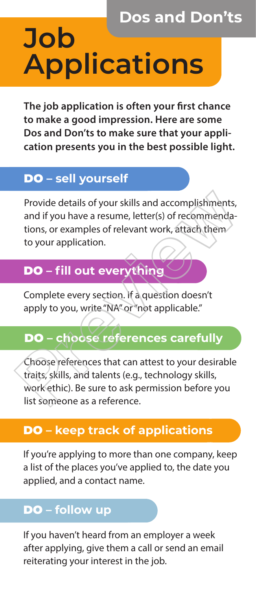### **Dos and Don'ts Job Applications**

**The job application is often your first chance to make a good impression. Here are some Dos and Don'ts to make sure that your application presents you in the best possible light.**

#### DO **– Sell yourself – sell yourself**

Provide details of your skills and accomplishments, and if you have a resume, letter(s) of recommendations, or examples of relevant work, attach them to your application.

#### DO **– fill out everything**

Complete every section. If a question doesn't apply to you, write "NA" or "not applicable."

#### DO **– choose references carefully**

Choose references that can attest to your desirable traits, skills, and talents (e.g., technology skills, work ethic). Be sure to ask permission before you list someone as a reference. Provide details of your skills and accomplishments,<br>and if you have a resume, letter(s) of recommenda-<br>tions, or examples of relevant work, attach them<br>to your application.<br>**DO** – **fill out everything**<br>Complete every secti

#### DO **– keep track of applications**

If you're applying to more than one company, keep a list of the places you've applied to, the date you applied, and a contact name.

#### DO **– follow up**

If you haven't heard from an employer a week after applying, give them a call or send an email reiterating your interest in the job.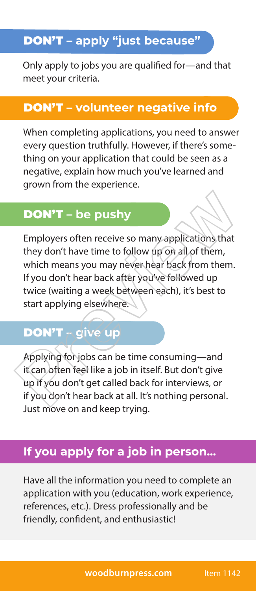#### DON'T **– apply "just because"**

Only apply to jobs you are qualified for—and that meet your criteria.

#### DON'T **– volunteer negative info**

When completing applications, you need to answer every question truthfully. However, if there's something on your application that could be seen as a negative, explain how much you've learned and grown from the experience.

#### DON'T **– be pushy**

Employers often receive so many applications that they don't have time to follow up on all of them, which means you may never hear back from them. If you don't hear back after you've followed up twice (waiting a week between each), it's best to start applying elsewhere. **DON'T** – be pushy<br>
Employers often receive so many applications that<br>
they don't have time to follow up on all of them,<br>
which means you may never hear back from them.<br>
If you don't hear back after you've followed up<br>
twi

#### DON'T **– give up**

Applying for jobs can be time consuming—and it can often feel like a job in itself. But don't give up if you don't get called back for interviews, or if you don't hear back at all. It's nothing personal. Just move on and keep trying.

#### **If you apply for a job in person...**

Have all the information you need to complete an application with you (education, work experience, references, etc.). Dress professionally and be friendly, confident, and enthusiastic!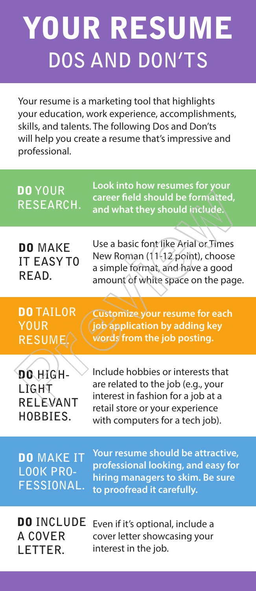# YOUR RESUME **DOS AND DON'TS**

Your resume is a marketing tool that highlights your education, work experience, accomplishments, skills, and talents. The following Dos and Don'ts will help you create a resume that's impressive and professional.

| <b>DO</b> YOUR<br>RESEARCH.                                | Look into how resumes for your<br>career field should be formatted,<br>and what they should include.                                                                                |
|------------------------------------------------------------|-------------------------------------------------------------------------------------------------------------------------------------------------------------------------------------|
| <b>DO MAKE</b><br><b>IT EASY TO</b><br>READ.               | Use a basic font like Arial or Times<br>New Roman (11-12 point), choose<br>a simple format, and have a good<br>amount of white space on the page.                                   |
| <b>DO TAILOR</b><br><b>YOUR</b><br><b>RESUME</b>           | <b>Customize your resume for each</b><br>job application by adding key<br>words from the job posting.                                                                               |
| DO HIGH-<br>LÌGHT<br>RELEVANT<br>HOBBIES.                  | Include hobbies or interests that<br>are related to the job (e.g., your<br>interest in fashion for a job at a<br>retail store or your experience<br>with computers for a tech job). |
| <b>DO MAKE IT</b><br><b>LOOK PRO-</b><br><b>FESSIONAL.</b> | Your resume should be attractive,<br>professional looking, and easy for<br>hiring managers to skim. Be sure<br>to proofread it carefully.                                           |
| <b>DO INCLUDE</b><br>A COVER<br>LETTER.                    | Even if it's optional, include a<br>cover letter showcasing your<br>interest in the job.                                                                                            |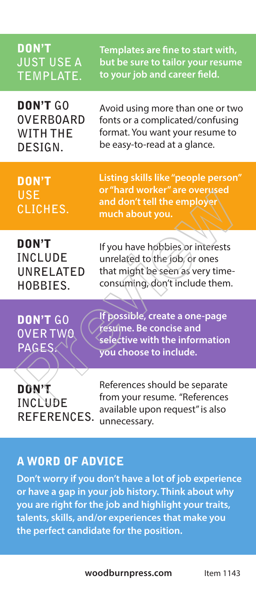| <b>DON'T</b>                                | Templates are fine to start with,                                                                                     |
|---------------------------------------------|-----------------------------------------------------------------------------------------------------------------------|
| <b>JUST USE A</b>                           | but be sure to tailor your resume                                                                                     |
| <b>TEMPLATE.</b>                            | to your job and career field.                                                                                         |
| <b>DON'T GO</b>                             | Avoid using more than one or two                                                                                      |
| <b>OVERBOARD</b>                            | fonts or a complicated/confusing                                                                                      |
| WITH THE                                    | format. You want your resume to                                                                                       |
| DESIGN.                                     | be easy-to-read at a glance.                                                                                          |
| <b>DON'T</b><br><b>USE</b><br>CLICHES.      | Listing skills like "people person"<br>or "hard worker" are overused<br>and don't tell the employe<br>much about you. |
| <b>DON'T</b>                                | If you have hobbies or interests                                                                                      |
| <b>INCLUDE</b>                              | unrelated to the job, or ones                                                                                         |
| UNRELATED                                   | that might be seen as very time-                                                                                      |
| HOBBIES.                                    | consuming, don't include them.                                                                                        |
| <b>DON'T GO</b><br><b>OVERTWO</b><br>PAGES. | If possible, create a one-page<br>resume. Be concise and<br>selective with the information<br>you choose to include.  |
| <b>DON'T</b><br>INCLUDE<br>REFERENCES.      | References should be separate<br>from your resume. "References<br>available upon request" is also<br>unnecessary.     |

#### A WORD OF ADVICE

**Don't worry if you don't have a lot of job experience or have a gap in your job history. Think about why you are right for the job and highlight your traits, talents, skills, and/or experiences that make you the perfect candidate for the position.**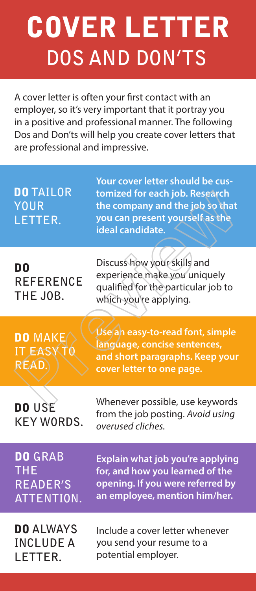# COVER LETTER **DOS AND DON'TS**

A cover letter is often your first contact with an employer, so it's very important that it portray you in a positive and professional manner. The following Dos and Don'ts will help you create cover letters that are professional and impressive.

| <b>DO TAILOR</b><br><b>YOUR</b><br>LETTER.                    | Your cover letter should be cus-<br>tomized for each job. Research<br>the company and the job so that<br>you can present yourself as the<br>ideal candidate. |
|---------------------------------------------------------------|--------------------------------------------------------------------------------------------------------------------------------------------------------------|
| D <sub>0</sub><br><b>REFERENCE</b><br>THE JOB.                | Discuss how your skills and<br>experience make you uniquely<br>qualified for the particular job to<br>which you're applying.                                 |
| <b>DO MAKE</b><br><b>IT EASKT</b><br>RÉAD.                    | Use an easy-to-read font, simple<br>language, concise sentences,<br>and short paragraphs. Keep your<br>cover letter to one page.                             |
| DO USE<br><b>KEY WORDS.</b>                                   | Whenever possible, use keywords<br>from the job posting. Avoid using<br>overused cliches.                                                                    |
| <b>DO GRAB</b><br><b>THE</b><br><b>READER'S</b><br>ATTENTION. | Explain what job you're applying<br>for, and how you learned of the<br>opening. If you were referred by<br>an employee, mention him/her.                     |
| <b>DO ALWAYS</b><br><b>INCLUDE A</b><br>LETTER.               | Include a cover letter whenever<br>you send your resume to a<br>potential employer.                                                                          |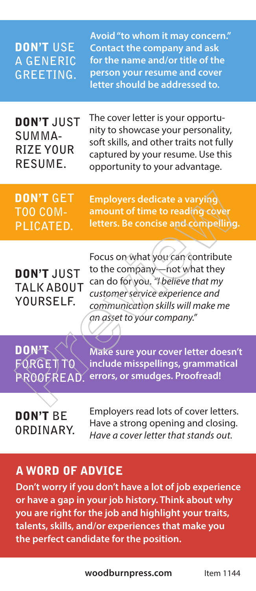| <b>DON'T USE</b><br><b>A GENERIC</b><br><b>GREETING.</b>   | Avoid "to whom it may concern."<br><b>Contact the company and ask</b><br>for the name and/or title of the<br>person your resume and cover<br>letter should be addressed to.                                  |
|------------------------------------------------------------|--------------------------------------------------------------------------------------------------------------------------------------------------------------------------------------------------------------|
| <b>DON'T JUST</b><br>SUMMA-<br><b>RIZE YOUR</b><br>RESUME. | The cover letter is your opportu-<br>nity to showcase your personality,<br>soft skills, and other traits not fully<br>captured by your resume. Use this<br>opportunity to your advantage.                    |
| <b>DON'T GET</b><br><b>TOO COM-</b><br>PLICATED.           | <b>Employers dedicate a varying</b><br>amount of time to reading cover<br>letters. Be concise and compelling.                                                                                                |
| <b>DON'T JUST</b><br><b>TALK ABOUT</b><br>YOURSELF.        | Focus on what you can contribute<br>to the company-not what they<br>can do for you. "I believe that my<br>customer service experience and<br>communication skills will make me<br>an asset to your company." |
| DON'T<br>FORGET TO<br>PROOFREAD.                           | Make sure your cover letter doesn't<br>include misspellings, grammatical<br>errors, or smudges. Proofread!                                                                                                   |
| <b>DON'T BE</b><br>ORDINARY.                               | Employers read lots of cover letters.<br>Have a strong opening and closing.<br>Have a cover letter that stands out.                                                                                          |

#### A WORD OF ADVICE

**Don't worry if you don't have a lot of job experience or have a gap in your job history. Think about why you are right for the job and highlight your traits, talents, skills, and/or experiences that make you the perfect candidate for the position.**

**woodburnpress.com** Item 1144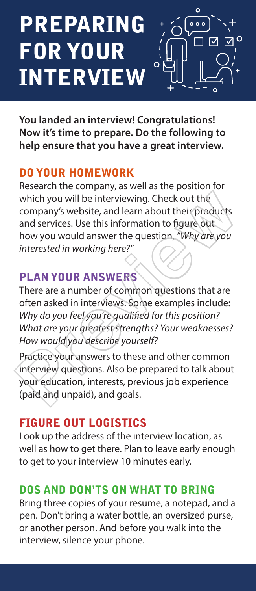### PREPARING FOR YOUR INTERVIEW



**You landed an interview! Congratulations! Now it's time to prepare. Do the following to help ensure that you have a great interview.** 

#### DO YOUR HOMEWORK

Research the company, as well as the position for which you will be interviewing. Check out the company's website, and learn about their products and services. Use this information to figure out how you would answer the question, *"Why are you interested in working here?"* which you will be interviewing. Check out the<br>company's website, and learn about their products<br>and services. Use this information to figure out<br>how you would answer the question, "Why are you<br>interested in working here?"<br>

#### PLAN YOUR ANSWERS

There are a number of common questions that are often asked in interviews. Some examples include: *Why do you feel you're qualified for this position? What are your greatest strengths? Your weaknesses? How would you describe yourself?*

Practice your answers to these and other common interview questions. Also be prepared to talk about your education, interests, previous job experience (paid and unpaid), and goals.

#### FIGURE OUT LOGISTICS

Look up the address of the interview location, as well as how to get there. Plan to leave early enough to get to your interview 10 minutes early.

#### DOS AND DON'TS ON WHAT TO BRING

Bring three copies of your resume, a notepad, and a pen. Don't bring a water bottle, an oversized purse, or another person. And before you walk into the interview, silence your phone.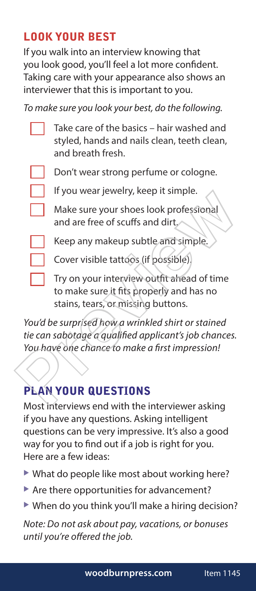#### LOOK YOUR BEST

If you walk into an interview knowing that you look good, you'll feel a lot more confident. Taking care with your appearance also shows an interviewer that this is important to you.

*To make sure you look your best, do the following.* 

Take care of the basics – hair washed and styled, hands and nails clean, teeth clean, and breath fresh. Don't wear strong perfume or cologne. If you wear jewelry, keep it simple. Make sure your shoes look professional and are free of scuffs and dirt. Keep any makeup subtle and simple. Cover visible tattoos (if possible). If you wear jewery, keep it simple.<br>
Make sure your shoes look professional<br>
and are free of scuffs and dirt.<br>
Keep any makeup subtle and simple.<br>
Cover visible tattoos (if possible).<br>
Try on your interview outfit ahead of

Try on your interview outfit ahead of time to make sure it fits properly and has no stains, tears, or missing buttons.

*You'd be surprised how a wrinkled shirt or stained tie can sabotage a qualified applicant's job chances. You have one chance to make a first impression!*

#### PLAN YOUR QUESTIONS

Most interviews end with the interviewer asking if you have any questions. Asking intelligent questions can be very impressive. It's also a good way for you to find out if a job is right for you. Here are a few ideas:

- $\blacktriangleright$  What do people like most about working here?
- $\blacktriangleright$  Are there opportunities for advancement?
- $\blacktriangleright$  When do you think you'll make a hiring decision?

*Note: Do not ask about pay, vacations, or bonuses until you're offered the job.*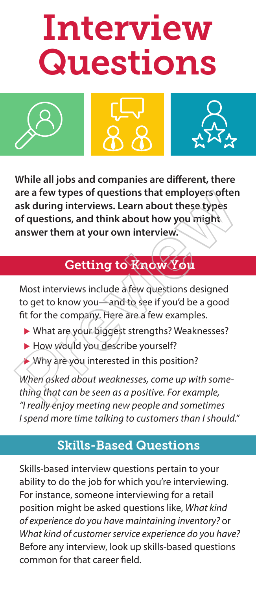# Interview **Questions**







**While all jobs and companies are different, there are a few types of questions that employers often ask during interviews. Learn about these types of questions, and think about how you might answer them at your own interview.** are a few types of questions that employers often<br>ask during interviews. Learn about these types<br>of questions, and think about how you might<br>answer them at your own interview.<br><br>**Cetting to Know You**<br>Most interviews include

#### Getting to Know You

Most interviews include a few questions designed to get to know you—and to see if you'd be a good fit for the company. Here are a few examples.

- ▶ What are your biggest strengths? Weaknesses?
- $\blacktriangleright$  How would you describe yourself?
- $\triangleright$  Why are you interested in this position?

*When asked about weaknesses, come up with something that can be seen as a positive. For example, "I really enjoy meeting new people and sometimes I spend more time talking to customers than I should."*

#### Skills-Based Questions

Skills-based interview questions pertain to your ability to do the job for which you're interviewing. For instance, someone interviewing for a retail position might be asked questions like, *What kind of experience do you have maintaining inventory?* or *What kind of customer service experience do you have?*  Before any interview, look up skills-based questions common for that career field.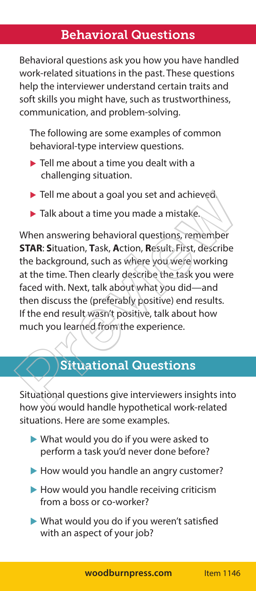#### Behavioral Questions

Behavioral questions ask you how you have handled work-related situations in the past. These questions help the interviewer understand certain traits and soft skills you might have, such as trustworthiness, communication, and problem-solving.

The following are some examples of common behavioral-type interview questions.

- $\blacktriangleright$  Tell me about a time you dealt with a challenging situation.
- $\blacktriangleright$  Tell me about a goal you set and achieved.
- $\blacktriangleright$  Talk about a time you made a mistake.

When answering behavioral questions, remember **STAR**: **S**ituation, **T**ask, **A**ction, **R**esult. First, describe the background, such as where you were working at the time. Then clearly describe the task you were faced with. Next, talk about what you did—and then discuss the (preferably positive) end results. If the end result wasn't positive, talk about how much you learned from the experience. Fiell me about a goal you set and achieved<br>
Fiell me about a time you made a mistake.<br>
When answering behavioral questions, remember<br> **STAR:** Situation, Task, Action, Result, First, describe<br>
the background, such as where

#### Situational Questions

Situational questions give interviewers insights into how you would handle hypothetical work-related situations. Here are some examples.

- $\blacktriangleright$  What would you do if you were asked to perform a task you'd never done before?
- $\blacktriangleright$  How would you handle an angry customer?
- $\blacktriangleright$  How would you handle receiving criticism from a boss or co-worker?
- $\blacktriangleright$  What would you do if you weren't satisfied with an aspect of your job?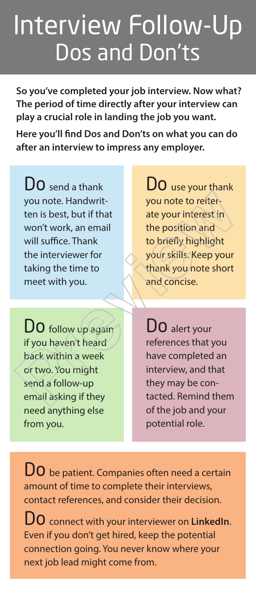### Interview Follow-Up Dos and Don'ts

**So you've completed your job interview. Now what? The period of time directly after your interview can play a crucial role in landing the job you want.** 

**Here you'll find Dos and Don'ts on what you can do after an interview to impress any employer.**

DO send a thank you note. Handwritten is best, but if that won't work, an email will suffice. Thank the interviewer for taking the time to meet with you.

 $D_0$  use your thank you note to reiterate your interest in the position and to briefly highlight your skills. Keep your thank you note short and concise. From the Handwrithesist, but if that<br>
you note to reiter<br>
ten is best, but if that<br>
won't work, an email<br>
will suffice. Thank<br>
the interviewer for<br>
taking the time to<br>
meet with you.<br> **DO** follow up again<br>
if you haven't h

DO follow up again if you haven't heard back within a week or two. You might send a follow-up email asking if they need anything else from you.

DO alert your references that you have completed an interview, and that they may be contacted. Remind them of the job and your potential role.

**DO** be patient. Companies often need a certain amount of time to complete their interviews, contact references, and consider their decision.

Do connect with your interviewer on **LinkedIn**. Even if you don't get hired, keep the potential connection going. You never know where your next job lead might come from.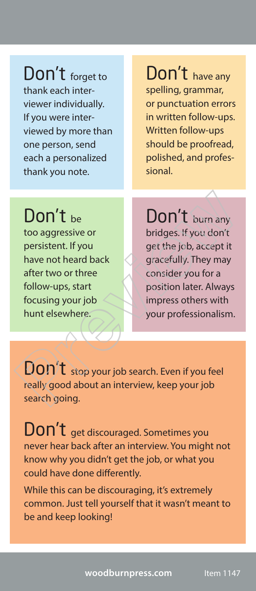Don't forget to thank each interviewer individually. If you were interviewed by more than one person, send each a personalized thank you note.

Don't have any spelling, grammar, or punctuation errors in written follow-ups. Written follow-ups should be proofread, polished, and professional.

Don't be too aggressive or persistent. If you have not heard back after two or three follow-ups, start focusing your job hunt elsewhere.

Don't burn any bridges. If you don't get the job, accept it gracefully. They may consider you for a position later. Always impress others with your professionalism. **DON't** be<br>
too aggressive or<br>
persistent. If you<br>
have not heard back<br>
after two or three<br>
follow-ups, start<br>
focusing your job<br>
to get the job, accept it<br>
gracefully. They may<br>
consider you for a<br>
follow-ups, start<br>
focu

Don't stop your job search. Even if you feel really good about an interview, keep your job search going.

Don't get discouraged. Sometimes you never hear back after an interview. You might not know why you didn't get the job, or what you could have done differently.

While this can be discouraging, it's extremely common. Just tell yourself that it wasn't meant to be and keep looking!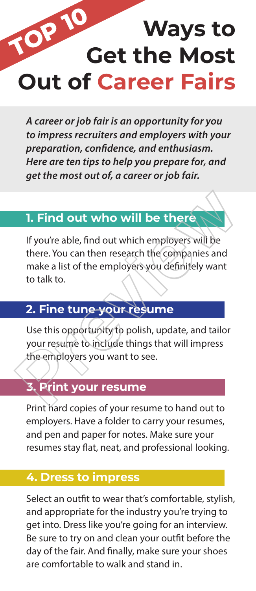### **Ways to Get the Most Out of Career Fairs TOP 10**

*A career or job fair is an opportunity for you to impress recruiters and employers with your preparation, confidence, and enthusiasm. Here are ten tips to help you prepare for, and get the most out of, a career or job fair.*

#### **1. Find out who will be there**

If you're able, find out which employers will be there. You can then research the companies and make a list of the employers you definitely want to talk to. 1. Find out who will be there<br>
If you're able, find out which employers will be<br>
there. You can then research the companies and<br>
make a list of the employers you definitely want<br>
to talk to.<br>
2. Fine tune your resume<br>
Use

#### **2. Fine tune your resume**

Use this opportunity to polish, update, and tailor your resume to include things that will impress the employers you want to see.

#### **3. Print your resume**

Print hard copies of your resume to hand out to employers. Have a folder to carry your resumes, and pen and paper for notes. Make sure your resumes stay flat, neat, and professional looking.

#### **4. Dress to impress**

Select an outfit to wear that's comfortable, stylish, and appropriate for the industry you're trying to get into. Dress like you're going for an interview. Be sure to try on and clean your outfit before the day of the fair. And finally, make sure your shoes are comfortable to walk and stand in.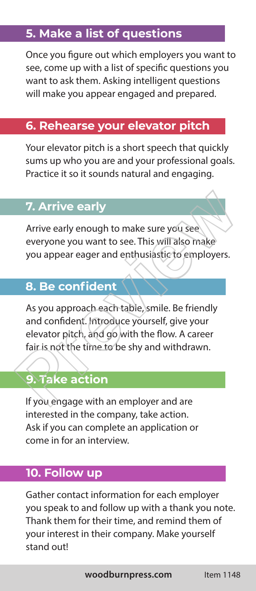#### **5. Make a list of questions**

Once you figure out which employers you want to see, come up with a list of specific questions you want to ask them. Asking intelligent questions will make you appear engaged and prepared.

#### **6. Rehearse your elevator pitch**

Your elevator pitch is a short speech that quickly sums up who you are and your professional goals. Practice it so it sounds natural and engaging.

#### **7. Arrive early**

Arrive early enough to make sure you see everyone you want to see. This will also make you appear eager and enthusiastic to employers.

#### **8. Be confident**

As you approach each table, smile. Be friendly and confident. Introduce yourself, give your elevator pitch, and go with the flow. A career fair is not the time to be shy and withdrawn. 7. Arrive early<br>
Arrive early<br>
Arrive early enough to make sure you see<br>
everyone you want to see. This will also make<br>
you appear eager and enthusiastic to employers.<br>
8. Be confident<br>
As you approach each table, smile. B

#### **9. Take action**

If you engage with an employer and are interested in the company, take action. Ask if you can complete an application or come in for an interview.

#### **10. Follow up**

Gather contact information for each employer you speak to and follow up with a thank you note. Thank them for their time, and remind them of your interest in their company. Make yourself stand out!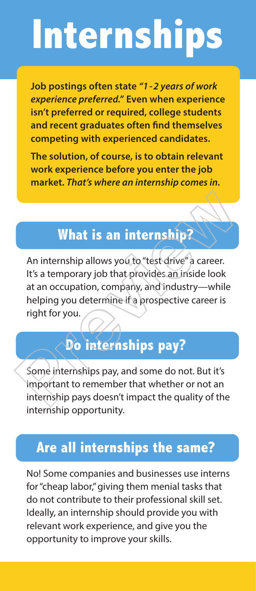# **Internships**

**Job postings often state** *"1-2 years of work experience preferred."* **Even when experience isn't preferred or required, college students and recent graduates often find themselves competing with experienced candidates.** 

**The solution, of course, is to obtain relevant work experience before you enter the job market.** *That's where an internship comes in.*

#### **What is an internship?**

An internship allows you to "test drive" a career. It's a temporary job that provides an inside look at an occupation, company, and industry—while helping you determine if a prospective career is right for you. What is an internship?<br>
An internship allows you to "test drive" a career.<br>
It's a temporary job that provides an inside look<br>
at an occupation, company, and industry—while<br>
helping you determine if a prospective career is

#### **Do internships pay?**

Some internships pay, and some do not. But it's important to remember that whether or not an internship pays doesn't impact the quality of the internship opportunity.

#### **Are all internships the same?**

No! Some companies and businesses use interns for "cheap labor," giving them menial tasks that do not contribute to their professional skill set. Ideally, an internship should provide you with relevant work experience, and give you the opportunity to improve your skills.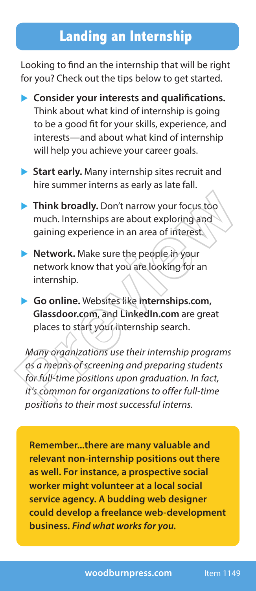#### **Landing an Internship**

Looking to find an the internship that will be right for you? Check out the tips below to get started.

- **Consider your interests and qualifications.** Think about what kind of internship is going to be a good fit for your skills, experience, and interests—and about what kind of internship will help you achieve your career goals.
- ▶ Start early. Many internship sites recruit and hire summer interns as early as late fall.
- **Think broadly.** Don't narrow your focus too much. Internships are about exploring and gaining experience in an area of interest.
- **Network.** Make sure the people in your network know that you are looking for an internship.
- ▶ Go online. Websites like Internships.com,  **Glassdoor.com**, and **LinkedIn.com** are great places to start your internship search.

*Many organizations use their internship programs as a means of screening and preparing students for full-time positions upon graduation. In fact, it's common for organizations to offer full-time positions to their most successful interns.*  • Think broadly. Don't narrow your focus toomuch. Internships are about exploring and<br>gaining experience in an area of interest.<br>• Network. Make sure the people in your<br>network know that you are looking for an<br>internship.

**Remember...there are many valuable and relevant non-internship positions out there as well. For instance, a prospective social worker might volunteer at a local social service agency. A budding web designer could develop a freelance web-development business.** *Find what works for you.*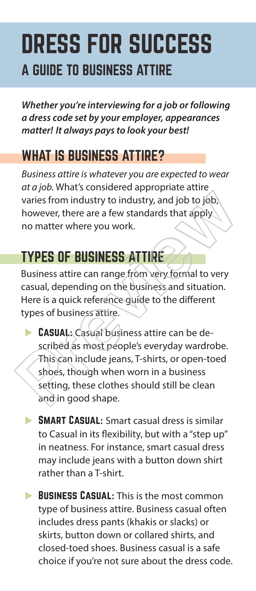### DRESS FOR SUCCESS A GUIDE TO BUSINESS ATTIRE

*Whether you're interviewing for a job or following a dress code set by your employer, appearances matter! It always pays to look your best!* 

#### WHAT IS BUSINESS ATTIRE?

*Business attire is whatever you are expected to wear at a job.* What's considered appropriate attire varies from industry to industry, and job to job; however, there are a few standards that apply no matter where you work.

#### TYPES OF BUSINESS ATTIRE

Business attire can range from very formal to very casual, depending on the business and situation. Here is a quick reference guide to the different types of business attire.

- $\triangleright$  CASUAL: Casual business attire can be described as most people's everyday wardrobe. This can include jeans, T-shirts, or open-toed shoes, though when worn in a business setting, these clothes should still be clean and in good shape. The strain industry to industry, and job to job,<br>however, there are a few standards that apply<br>no matter where you work.<br>THES OF BUSINESS ATTIRE<br>Business attire can range from very formal to very<br>casual, depending on the b
	- **BMART CASUAL:** Smart casual dress is similar to Casual in its flexibility, but with a "step up" in neatness. For instance, smart casual dress may include jeans with a button down shirt rather than a T-shirt.
	- **BUSINESS CASUAL:** This is the most common type of business attire. Business casual often includes dress pants (khakis or slacks) or skirts, button down or collared shirts, and closed-toed shoes. Business casual is a safe choice if you're not sure about the dress code.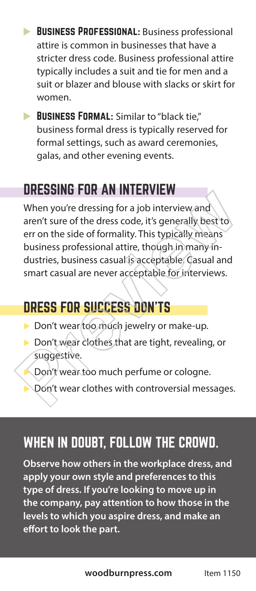- **BUSINESS PROFESSIONAL: Business professional** attire is common in businesses that have a stricter dress code. Business professional attire typically includes a suit and tie for men and a suit or blazer and blouse with slacks or skirt for women.
- **BUSINESS FORMAL:** Similar to "black tie," business formal dress is typically reserved for formal settings, such as award ceremonies, galas, and other evening events.

#### DRESSING FOR AN INTERVIEW

When you're dressing for a job interview and aren't sure of the dress code, it's generally best to err on the side of formality. This typically means business professional attire, though in many industries, business casual is acceptable. Casual and smart casual are never acceptable for interviews. When you're dressing for a job interview and<br>aren't sure of the dress code, it's generally best to<br>err on the side of formality. This typically means<br>business professional attire, though in many in-<br>dustries, business casu

#### DRESS FOR SUCCESS DON'TS

- Don't wear too much jewelry or make-up.
- $\triangleright$  Don't wear clothes that are tight, revealing, or suggestive.
	- Don't wear too much perfume or cologne.
	- Don't wear clothes with controversial messages.

#### WHEN IN DOUBT, FOLLOW THE CROWD.

**Observe how others in the workplace dress, and apply your own style and preferences to this type of dress. If you're looking to move up in the company, pay attention to how those in the levels to which you aspire dress, and make an effort to look the part.**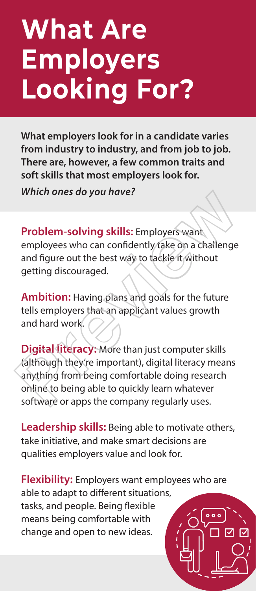# **What Are Employers Looking For?**

**What employers look for in a candidate varies from industry to industry, and from job to job. There are, however, a few common traits and soft skills that most employers look for.** 

*Which ones do you have?*

**Problem-solving skills:** Employers want

employees who can confidently take on a challenge and figure out the best way to tackle it without getting discouraged.

**Ambition:** Having plans and goals for the future tells employers that an applicant values growth and hard work.

**Digital literacy:** More than just computer skills (although they're important), digital literacy means anything from being comfortable doing research online to being able to quickly learn whatever software or apps the company regularly uses. Which ones do you have?<br>
Problem-solving skills: Employers want<br>
employees who can confidently take on a challenge<br>
and figure out the best way to tackle it without<br>
getting discouraged.<br> **Ambition:** Having plans and goals

**Leadership skills:** Being able to motivate others, take initiative, and make smart decisions are qualities employers value and look for.

**Flexibility:** Employers want employees who are able to adapt to different situations, tasks, and people. Being flexible means being comfortable with change and open to new ideas.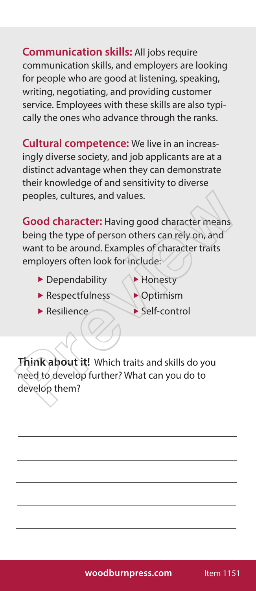**Communication skills:** All jobs require communication skills, and employers are looking for people who are good at listening, speaking, writing, negotiating, and providing customer service. Employees with these skills are also typically the ones who advance through the ranks.

**Cultural competence:** We live in an increasingly diverse society, and job applicants are at a distinct advantage when they can demonstrate their knowledge of and sensitivity to diverse peoples, cultures, and values.

**Good character:** Having good character means being the type of person others can rely on, and want to be around. Examples of character traits employers often look for include: Preview and values.<br> **Good character:** Having good character means<br>
being the type of person others can rely on, and<br>
want to be around. Examples of character traits<br>
employers often look for include:<br>
<br> **Preview by Previe** 

- $\blacktriangleright$  Dependability  $\blacktriangleleft$  Honesty
- 
- $\blacktriangleright$  Respectfulness  $\blacktriangleright$  Optimism
- $\blacktriangleright$  Resilience  $\blacktriangleright$  Self-control

**Think about it!** Which traits and skills do you need to develop further? What can you do to develop them?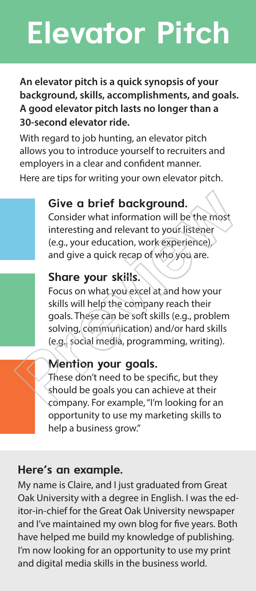# **Elevator Pitch**

#### **An elevator pitch is a quick synopsis of your background, skills, accomplishments, and goals. A good elevator pitch lasts no longer than a 30-second elevator ride.**

With regard to job hunting, an elevator pitch allows you to introduce yourself to recruiters and employers in a clear and confident manner.

Here are tips for writing your own elevator pitch.

#### **Give a brief background.**

Consider what information will be the most interesting and relevant to your listener (e.g., your education, work experience), and give a quick recap of who you are.

#### **Share your skills.**

Focus on what you excel at and how your skills will help the company reach their goals. These can be soft skills (e.g., problem solving, communication) and/or hard skills (e.g., social media, programming, writing). Give a brief background.<br>
Consider what information will be the most<br>
interesting and relevant to your listener<br>
(e.g., your education, work experience),<br>
and give a quick recap of who you are.<br> **Share your skills.**<br>
Focus

#### **Mention your goals.**

These don't need to be specific, but they should be goals you can achieve at their company. For example, "I'm looking for an opportunity to use my marketing skills to help a business grow."

#### **Here's an example.**

My name is Claire, and I just graduated from Great Oak University with a degree in English. I was the editor-in-chief for the Great Oak University newspaper and I've maintained my own blog for five years. Both have helped me build my knowledge of publishing. I'm now looking for an opportunity to use my print and digital media skills in the business world.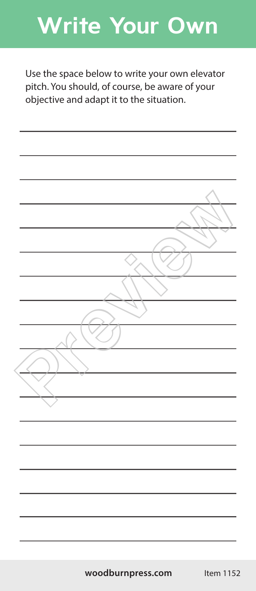### **Write Your Own**

Use the space below to write your own elevator pitch. You should, of course, be aware of your objective and adapt it to the situation.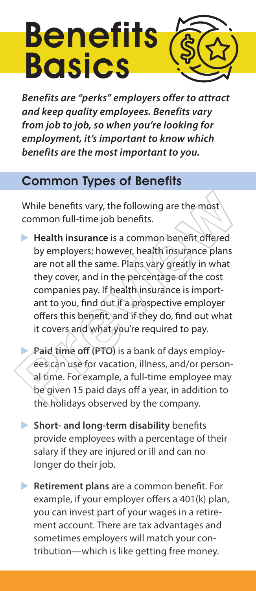# **Benefits Basics**

*Benefits are "perks" employers offer to attract and keep quality employees. Benefits vary from job to job, so when you're looking for employment, it's important to know which benefits are the most important to you.* 

#### Common Types of Benefits

While benefits vary, the following are the most common full-time job benefits.

**Health insurance** is a common benefit offered by employers; however, health insurance plans are not all the same. Plans vary greatly in what they cover, and in the percentage of the cost companies pay. If health insurance is important to you, find out if a prospective employer offers this benefit, and if they do, find out what it covers and what you're required to pay. While benefits vary, the following are the most<br>common full-time job benefits.<br> **Preview in Figure 1** Health insurance is a common benefit offered<br>
by employers; however, health insurance plans<br>
are not all the same. Plans

Paid time off (PTO) is a bank of days employees can use for vacation, illness, and/or personal time. For example, a full-time employee may be given 15 paid days off a year, in addition to the holidays observed by the company.

- **Short- and long-term disability** benefits provide employees with a percentage of their salary if they are injured or ill and can no longer do their job.
- **Retirement plans** are a common benefit. For example, if your employer offers a 401(k) plan, you can invest part of your wages in a retirement account. There are tax advantages and sometimes employers will match your contribution—which is like getting free money.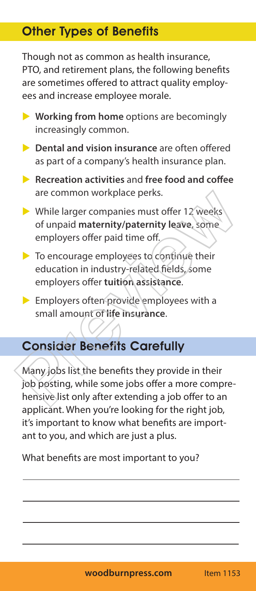#### Other Types of Benefits

Though not as common as health insurance, PTO, and retirement plans, the following benefits are sometimes offered to attract quality employees and increase employee morale.

- ▶ Working from home options are becomingly increasingly common.
- **Dental and vision insurance** are often offered as part of a company's health insurance plan.
- **Recreation activities** and free food and coffee are common workplace perks.
- $\triangleright$  While larger companies must offer 12 weeks of unpaid **maternity/paternity leave**, some employers offer paid time off.
- $\triangleright$  To encourage employees to continue their education in industry-related fields, some employers offer **tuition assistance**.
- $\triangleright$  Employers often provide employees with a small amount of **life insurance**.

#### Consider Benefits Carefully

Many jobs list the benefits they provide in their job posting, while some jobs offer a more comprehensive list only after extending a job offer to an applicant. When you're looking for the right job, it's important to know what benefits are important to you, and which are just a plus. The common workplace perks.<br>
Solution and the larger companies must offer 12 weeks<br>
of unpaid maternity/paternity leave, some<br>
employers offer paid time off.<br>
To encourage employees to continue their<br>
education in industry

What benefits are most important to you?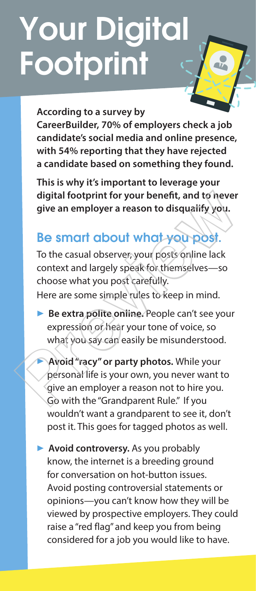# Your Digital Footprint

#### **According to a survey by**

**CareerBuilder, 70% of employers check a job candidate's social media and online presence, with 54% reporting that they have rejected a candidate based on something they found.** 

**This is why it's important to leverage your digital footprint for your benefit, and to never give an employer a reason to disqualify you.**

#### Be smart about what you post.

To the casual observer, your posts online lack context and largely speak for themselves—so choose what you post carefully. Here are some simple rules to keep in mind. digital footprint for your benefit, and to never<br>give an employer a reason to disqualify you.<br>Be smart about what you post.<br>To the casual observer, your posts online lack<br>context and largely speak for themselves—so<br>choose

**Be extra polite online.** People can't see your expression or hear your tone of voice, so what you say can easily be misunderstood.

u **Avoid "racy" or party photos.** While your personal life is your own, you never want to give an employer a reason not to hire you. Go with the "Grandparent Rule." If you wouldn't want a grandparent to see it, don't post it. This goes for tagged photos as well.

**Avoid controversy.** As you probably know, the internet is a breeding ground for conversation on hot-button issues. Avoid posting controversial statements or opinions—you can't know how they will be viewed by prospective employers. They could raise a "red flag" and keep you from being considered for a job you would like to have.